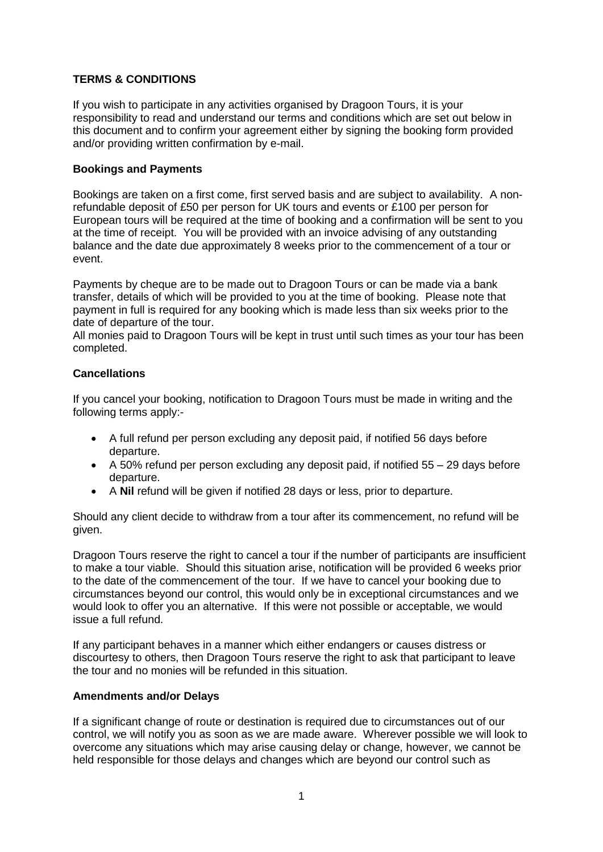# **TERMS & CONDITIONS**

If you wish to participate in any activities organised by Dragoon Tours, it is your responsibility to read and understand our terms and conditions which are set out below in this document and to confirm your agreement either by signing the booking form provided and/or providing written confirmation by e-mail.

## **Bookings and Payments**

Bookings are taken on a first come, first served basis and are subject to availability. A nonrefundable deposit of £50 per person for UK tours and events or £100 per person for European tours will be required at the time of booking and a confirmation will be sent to you at the time of receipt. You will be provided with an invoice advising of any outstanding balance and the date due approximately 8 weeks prior to the commencement of a tour or event.

Payments by cheque are to be made out to Dragoon Tours or can be made via a bank transfer, details of which will be provided to you at the time of booking. Please note that payment in full is required for any booking which is made less than six weeks prior to the date of departure of the tour.

All monies paid to Dragoon Tours will be kept in trust until such times as your tour has been completed.

## **Cancellations**

If you cancel your booking, notification to Dragoon Tours must be made in writing and the following terms apply:-

- A full refund per person excluding any deposit paid, if notified 56 days before departure.
- A 50% refund per person excluding any deposit paid, if notified 55 29 days before departure.
- A **Nil** refund will be given if notified 28 days or less, prior to departure.

Should any client decide to withdraw from a tour after its commencement, no refund will be given.

Dragoon Tours reserve the right to cancel a tour if the number of participants are insufficient to make a tour viable. Should this situation arise, notification will be provided 6 weeks prior to the date of the commencement of the tour. If we have to cancel your booking due to circumstances beyond our control, this would only be in exceptional circumstances and we would look to offer you an alternative. If this were not possible or acceptable, we would issue a full refund.

If any participant behaves in a manner which either endangers or causes distress or discourtesy to others, then Dragoon Tours reserve the right to ask that participant to leave the tour and no monies will be refunded in this situation.

## **Amendments and/or Delays**

If a significant change of route or destination is required due to circumstances out of our control, we will notify you as soon as we are made aware. Wherever possible we will look to overcome any situations which may arise causing delay or change, however, we cannot be held responsible for those delays and changes which are beyond our control such as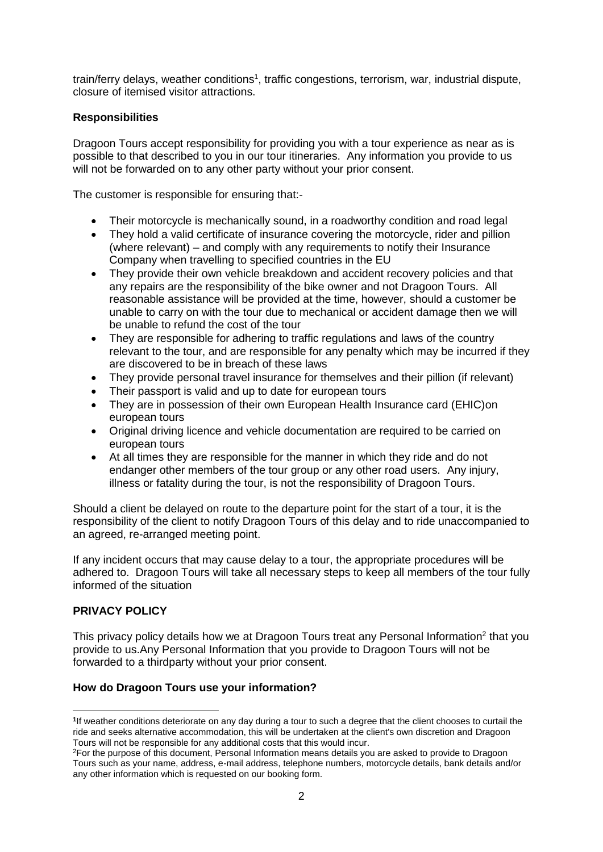train/ferry delays, weather conditions<sup>1</sup>, traffic congestions, terrorism, war, industrial dispute, closure of itemised visitor attractions.

## **Responsibilities**

Dragoon Tours accept responsibility for providing you with a tour experience as near as is possible to that described to you in our tour itineraries. Any information you provide to us will not be forwarded on to any other party without your prior consent.

The customer is responsible for ensuring that:-

- Their motorcycle is mechanically sound, in a roadworthy condition and road legal
- They hold a valid certificate of insurance covering the motorcycle, rider and pillion (where relevant) – and comply with any requirements to notify their Insurance Company when travelling to specified countries in the EU
- They provide their own vehicle breakdown and accident recovery policies and that any repairs are the responsibility of the bike owner and not Dragoon Tours. All reasonable assistance will be provided at the time, however, should a customer be unable to carry on with the tour due to mechanical or accident damage then we will be unable to refund the cost of the tour
- They are responsible for adhering to traffic regulations and laws of the country relevant to the tour, and are responsible for any penalty which may be incurred if they are discovered to be in breach of these laws
- They provide personal travel insurance for themselves and their pillion (if relevant)
- Their passport is valid and up to date for european tours
- They are in possession of their own European Health Insurance card (EHIC)on european tours
- Original driving licence and vehicle documentation are required to be carried on european tours
- At all times they are responsible for the manner in which they ride and do not endanger other members of the tour group or any other road users. Any injury, illness or fatality during the tour, is not the responsibility of Dragoon Tours.

Should a client be delayed on route to the departure point for the start of a tour, it is the responsibility of the client to notify Dragoon Tours of this delay and to ride unaccompanied to an agreed, re-arranged meeting point.

If any incident occurs that may cause delay to a tour, the appropriate procedures will be adhered to. Dragoon Tours will take all necessary steps to keep all members of the tour fully informed of the situation

## **PRIVACY POLICY**

This privacy policy details how we at Dragoon Tours treat any Personal Information<sup>2</sup> that you provide to us.Any Personal Information that you provide to Dragoon Tours will not be forwarded to a thirdparty without your prior consent.

# **How do Dragoon Tours use your information?**

 $\overline{a}$ **1** If weather conditions deteriorate on any day during a tour to such a degree that the client chooses to curtail the ride and seeks alternative accommodation, this will be undertaken at the client's own discretion and Dragoon Tours will not be responsible for any additional costs that this would incur.

<sup>2</sup>For the purpose of this document, Personal Information means details you are asked to provide to Dragoon Tours such as your name, address, e-mail address, telephone numbers, motorcycle details, bank details and/or any other information which is requested on our booking form.